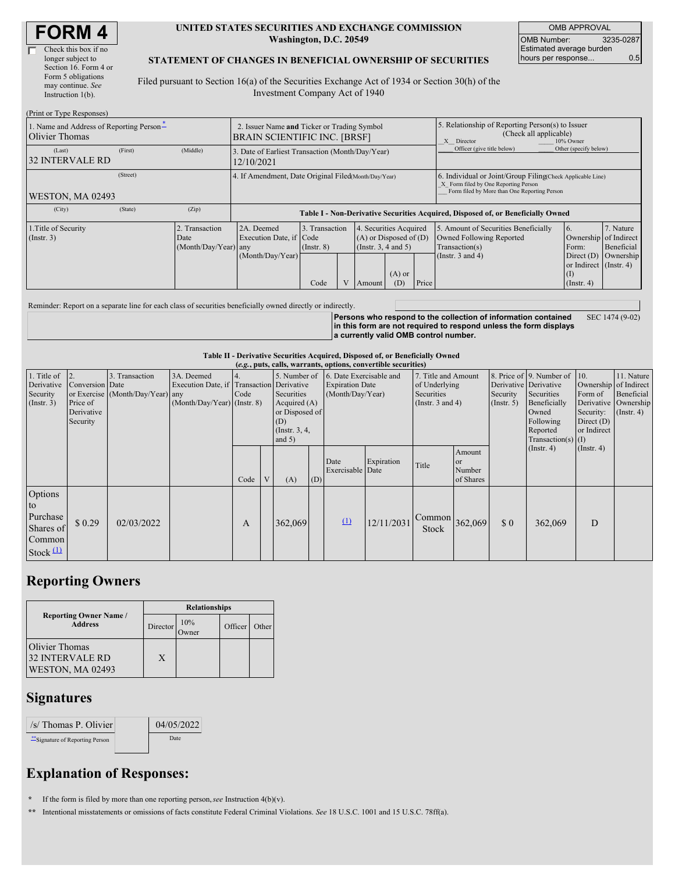#### **UNITED STATES SECURITIES AND EXCHANGE COMMISSION Washington, D.C. 20549**

OMB APPROVAL OMB Number: 3235-0287 Estimated average burden hours per response... 0.5

#### **STATEMENT OF CHANGES IN BENEFICIAL OWNERSHIP OF SECURITIES**

Filed pursuant to Section 16(a) of the Securities Exchange Act of 1934 or Section 30(h) of the Investment Company Act of 1940

| (Print or Type Responses)                                  |          |                                                                                    |                                                                                  |                                   |  |                                                                             |                 |                                                                                                                                                    |                                                                                                             |                                                                                |                                      |
|------------------------------------------------------------|----------|------------------------------------------------------------------------------------|----------------------------------------------------------------------------------|-----------------------------------|--|-----------------------------------------------------------------------------|-----------------|----------------------------------------------------------------------------------------------------------------------------------------------------|-------------------------------------------------------------------------------------------------------------|--------------------------------------------------------------------------------|--------------------------------------|
| 1. Name and Address of Reporting Person-<br>Olivier Thomas |          | 2. Issuer Name and Ticker or Trading Symbol<br><b>BRAIN SCIENTIFIC INC. [BRSF]</b> |                                                                                  |                                   |  |                                                                             |                 | 5. Relationship of Reporting Person(s) to Issuer<br>(Check all applicable)<br>X Director<br>10% Owner                                              |                                                                                                             |                                                                                |                                      |
| (Last)<br><b>32 INTERVALE RD</b>                           | (First)  | (Middle)                                                                           | 3. Date of Earliest Transaction (Month/Day/Year)<br>12/10/2021                   |                                   |  |                                                                             |                 |                                                                                                                                                    | Officer (give title below)                                                                                  | Other (specify below)                                                          |                                      |
| WESTON, MA 02493                                           | (Street) |                                                                                    | 4. If Amendment, Date Original Filed Month/Day/Year)                             |                                   |  |                                                                             |                 | 6. Individual or Joint/Group Filing Check Applicable Line)<br>X Form filed by One Reporting Person<br>Form filed by More than One Reporting Person |                                                                                                             |                                                                                |                                      |
| (City)                                                     | (State)  | (Zip)                                                                              | Table I - Non-Derivative Securities Acquired, Disposed of, or Beneficially Owned |                                   |  |                                                                             |                 |                                                                                                                                                    |                                                                                                             |                                                                                |                                      |
| 1. Title of Security<br>(Insert. 3)                        |          | . Transaction<br>Date<br>(Month/Day/Year) any                                      | 2A. Deemed<br>Execution Date, if Code<br>(Month/Day/Year)                        | 3. Transaction<br>$($ Instr. $8)$ |  | 4. Securities Acquired<br>$(A)$ or Disposed of $(D)$<br>(Instr. 3, 4 and 5) |                 |                                                                                                                                                    | 5. Amount of Securities Beneficially<br>Owned Following Reported<br>Transaction(s)<br>(Instr. $3$ and $4$ ) | 6.<br>Ownership of Indirect<br>Form:<br>Direct $(D)$<br>or Indirect (Instr. 4) | 7. Nature<br>Beneficial<br>Ownership |
|                                                            |          |                                                                                    |                                                                                  | Code                              |  | Amount                                                                      | $(A)$ or<br>(D) | Price                                                                                                                                              |                                                                                                             | (1)<br>$($ Instr. 4 $)$                                                        |                                      |

Reminder: Report on a separate line for each class of securities beneficially owned directly or indirectly.

**Persons who respond to the collection of information contained in this form are not required to respond unless the form displays a currently valid OMB control number.** SEC 1474 (9-02)

**Table II - Derivative Securities Acquired, Disposed of, or Beneficially Owned**

| (e.g., puts, calls, warrants, options, convertible securities)  |                                                            |                                                    |                                                                                          |      |   |                                                                                                      |     |                                                                       |            |                                                                             |                                            |                                                    |                                                                                                                  |                                                                                     |                                                                      |
|-----------------------------------------------------------------|------------------------------------------------------------|----------------------------------------------------|------------------------------------------------------------------------------------------|------|---|------------------------------------------------------------------------------------------------------|-----|-----------------------------------------------------------------------|------------|-----------------------------------------------------------------------------|--------------------------------------------|----------------------------------------------------|------------------------------------------------------------------------------------------------------------------|-------------------------------------------------------------------------------------|----------------------------------------------------------------------|
| 1. Title of<br>Derivative<br>Security<br>(Insert. 3)            | 2<br>Conversion Date<br>Price of<br>Derivative<br>Security | 3. Transaction<br>or Exercise (Month/Day/Year) any | 3A. Deemed<br>Execution Date, if Transaction Derivative<br>$(Month/Day/Year)$ (Instr. 8) | Code |   | 5. Number of<br>Securities<br>Acquired $(A)$<br>or Disposed of<br>(D)<br>(Instr. $3, 4,$<br>and $5)$ |     | 6. Date Exercisable and<br><b>Expiration Date</b><br>(Month/Day/Year) |            | 7. Title and Amount<br>of Underlying<br>Securities<br>(Instr. $3$ and $4$ ) |                                            | Derivative Derivative<br>Security<br>$($ Instr. 5) | 8. Price of 9. Number of<br>Securities<br>Beneficially<br>Owned<br>Following<br>Reported<br>Transaction(s) $(I)$ | 10.<br>Ownership of Indirect<br>Form of<br>Security:<br>Direct $(D)$<br>or Indirect | 11. Nature<br>Beneficial<br>Derivative Ownership<br>$($ Instr. 4 $)$ |
|                                                                 |                                                            |                                                    |                                                                                          | Code | V | (A)                                                                                                  | (D) | Date<br>Exercisable Date                                              | Expiration | Title                                                                       | Amount<br><b>or</b><br>Number<br>of Shares |                                                    | (Insert. 4)                                                                                                      | $($ Instr. 4 $)$                                                                    |                                                                      |
| Options<br>to<br>Purchase<br>Shares of<br>Common<br>Stock $(1)$ | \$0.29                                                     | 02/03/2022                                         |                                                                                          | A    |   | 362,069                                                                                              |     | $\Omega$                                                              | 12/11/2031 | Common<br>Stock                                                             | 362,069                                    | \$0                                                | 362,069                                                                                                          | D                                                                                   |                                                                      |

### **Reporting Owners**

|                                                              | <b>Relationships</b> |                     |         |       |  |  |  |
|--------------------------------------------------------------|----------------------|---------------------|---------|-------|--|--|--|
| <b>Reporting Owner Name /</b><br><b>Address</b>              | Director             | 10%<br><b>Jwner</b> | Officer | Other |  |  |  |
| Olivier Thomas<br><b>32 INTERVALE RD</b><br>WESTON, MA 02493 | X                    |                     |         |       |  |  |  |

## **Signatures**

| /s/ Thomas P. Olivier         | 04/05/2022 |  |
|-------------------------------|------------|--|
| Signature of Reporting Person | Date       |  |

# **Explanation of Responses:**

**\*** If the form is filed by more than one reporting person,*see* Instruction 4(b)(v).

**\*\*** Intentional misstatements or omissions of facts constitute Federal Criminal Violations. *See* 18 U.S.C. 1001 and 15 U.S.C. 78ff(a).